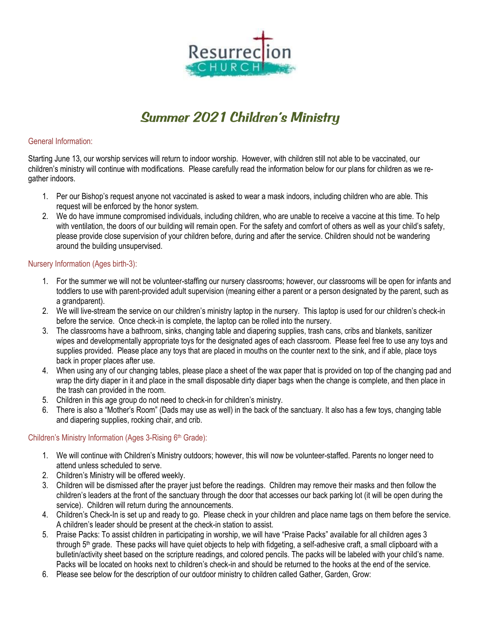

## *Summer 2021 Children's Ministry*

#### General Information:

Starting June 13, our worship services will return to indoor worship. However, with children still not able to be vaccinated, our children's ministry will continue with modifications. Please carefully read the information below for our plans for children as we regather indoors.

- 1. Per our Bishop's request anyone not vaccinated is asked to wear a mask indoors, including children who are able. This request will be enforced by the honor system.
- 2. We do have immune compromised individuals, including children, who are unable to receive a vaccine at this time. To help with ventilation, the doors of our building will remain open. For the safety and comfort of others as well as your child's safety, please provide close supervision of your children before, during and after the service. Children should not be wandering around the building unsupervised.

### Nursery Information (Ages birth-3):

- 1. For the summer we will not be volunteer-staffing our nursery classrooms; however, our classrooms will be open for infants and toddlers to use with parent-provided adult supervision (meaning either a parent or a person designated by the parent, such as a grandparent).
- 2. We will live-stream the service on our children's ministry laptop in the nursery. This laptop is used for our children's check-in before the service. Once check-in is complete, the laptop can be rolled into the nursery.
- 3. The classrooms have a bathroom, sinks, changing table and diapering supplies, trash cans, cribs and blankets, sanitizer wipes and developmentally appropriate toys for the designated ages of each classroom. Please feel free to use any toys and supplies provided. Please place any toys that are placed in mouths on the counter next to the sink, and if able, place toys back in proper places after use.
- 4. When using any of our changing tables, please place a sheet of the wax paper that is provided on top of the changing pad and wrap the dirty diaper in it and place in the small disposable dirty diaper bags when the change is complete, and then place in the trash can provided in the room.
- 5. Children in this age group do not need to check-in for children's ministry.
- 6. There is also a "Mother's Room" (Dads may use as well) in the back of the sanctuary. It also has a few toys, changing table and diapering supplies, rocking chair, and crib.

### Children's Ministry Information (Ages 3-Rising 6<sup>th</sup> Grade):

- 1. We will continue with Children's Ministry outdoors; however, this will now be volunteer-staffed. Parents no longer need to attend unless scheduled to serve.
- 2. Children's Ministry will be offered weekly.
- 3. Children will be dismissed after the prayer just before the readings. Children may remove their masks and then follow the children's leaders at the front of the sanctuary through the door that accesses our back parking lot (it will be open during the service). Children will return during the announcements.
- 4. Children's Check-In is set up and ready to go. Please check in your children and place name tags on them before the service. A children's leader should be present at the check-in station to assist.
- 5. Praise Packs: To assist children in participating in worship, we will have "Praise Packs" available for all children ages 3 through  $5<sup>th</sup>$  grade. These packs will have quiet objects to help with fidgeting, a self-adhesive craft, a small clipboard with a bulletin/activity sheet based on the scripture readings, and colored pencils. The packs will be labeled with your child's name. Packs will be located on hooks next to children's check-in and should be returned to the hooks at the end of the service.
- 6. Please see below for the description of our outdoor ministry to children called Gather, Garden, Grow: